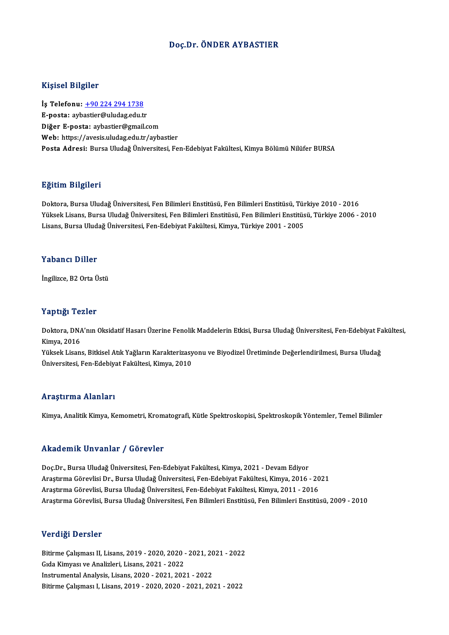## Doç.Dr. ÖNDER AYBASTIER

### Kişisel Bilgiler

İş Telefonu: +90 224 294 1738 E-posta: ayb[astier@uludag.edu.t](tel:+90 224 294 1738)r Diğer E-posta: aybastier@gmail.com Web: https://avesis.uludag.edu.tr/aybastier Posta Adresi: Bursa Uludağ Üniversitesi, Fen-Edebiyat Fakültesi, Kimya Bölümü Nilüfer BURSA

# Eğitim Bilgileri

<mark>Eğitim Bilgileri</mark><br>Doktora, Bursa Uludağ Üniversitesi, Fen Bilimleri Enstitüsü, Fen Bilimleri Enstitüsü, Türkiye 2010 - 2016<br>Yüksek Lisans, Bursa Uludağ Üniversitesi, Fen Bilimleri Enstitüsü, Fen Bilimleri Enstitüsü, Türki Yüksek Lisans, Bursa Uludağ Üniversitesi, Fen Bilimleri Enstitüsü, Fen Bilimleri Enstitüsü, Türkiye 2006 - 2010<br>Lisans, Bursa Uludağ Üniversitesi, Fen-Edebiyat Fakültesi, Kimya, Türkiye 2001 - 2005 Doktora, Bursa Uludağ Üniversitesi, Fen Bilimleri Enstitüsü, Fen Bilimleri Enstitüsü, Tür<br>Yüksek Lisans, Bursa Uludağ Üniversitesi, Fen Bilimleri Enstitüsü, Fen Bilimleri Enstitüs<br>Lisans, Bursa Uludağ Üniversitesi, Fen-Ede

#### Yabancı Diller

İngilizce,B2OrtaÜstü

### Yaptığı Tezler

**Yaptığı Tezler**<br>Doktora, DNA'nın Oksidatif Hasarı Üzerine Fenolik Maddelerin Etkisi, Bursa Uludağ Üniversitesi, Fen-Edebiyat Fakültesi,<br>Kimya, 2016 1 up 119.<br>Doktora, DNA<br>Kimya, 2016<br>Vüksek Lisan Doktora, DNA'nın Oksidatif Hasarı Üzerine Fenolik Maddelerin Etkisi, Bursa Uludağ Üniversitesi, Fen-Edebiyat Fa<br>Kimya, 2016<br>Yüksek Lisans, Bitkisel Atık Yağların Karakterizasyonu ve Biyodizel Üretiminde Değerlendirilmesi,

Kimya, 2016<br>Yüksek Lisans, Bitkisel Atık Yağların Karakterizasyonu ve Biyodizel Üretiminde Değerlendirilmesi, Bursa Uludağ<br>Üniversitesi, Fen-Edebiyat Fakültesi, Kimya, 2010

#### Araştırma Alanları

Kimya, Analitik Kimya, Kemometri, Kromatografi, Kütle Spektroskopisi, Spektroskopik Yöntemler, Temel Bilimler

### Akademik Unvanlar / Görevler

Doç.Dr., Bursa Uludağ Üniversitesi, Fen-Edebiyat Fakültesi, Kimya, 2021 - Devam Ediyor AraştırmaGörevlisiDr.,BursaUludağÜniversitesi,Fen-EdebiyatFakültesi,Kimya,2016 -2021 AraştırmaGörevlisi,BursaUludağÜniversitesi,Fen-EdebiyatFakültesi,Kimya,2011 -2016 AraştırmaGörevlisi,BursaUludağÜniversitesi,FenBilimleriEnstitüsü,FenBilimleriEnstitüsü,2009 -2010

# Verdiği Dersler

Verdiği Dersler<br>Bitirme Çalışması II, Lisans, 2019 - 2020, 2020 - 2021, 2021 - 2022<br>Cida Kimuası ve Analizlari Lisans, 2021, ...2022 Gıda Kimyası ve Analizleri, Lisans, 2021 - 2022<br>Instrumental Analysis, Lisans, 2020 - 2021, 2021 - 2022 Bitirme Çalışması II, Lisans, 2019 - 2020, 2020 - 2021, 20<br>Gıda Kimyası ve Analizleri, Lisans, 2021 - 2022<br>Instrumental Analysis, Lisans, 2020 - 2021, 2021 - 2022<br>Bitirme Colisması I, Lisans, 2020 - 2020, 2020, 2021 BitirmeÇalışması I,Lisans,2019 -2020,2020 -2021,2021 -2022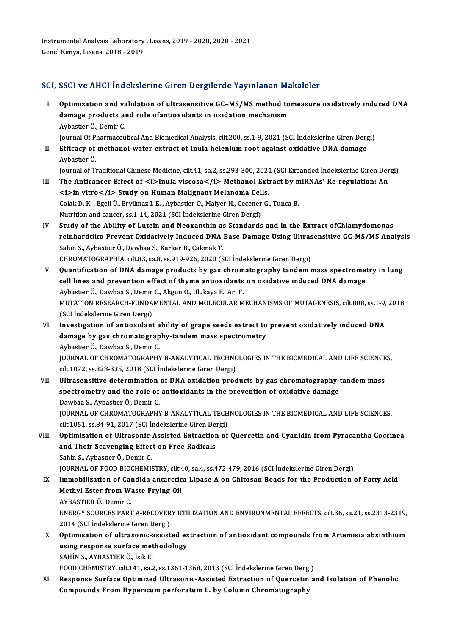Instrumental Analysis Laboratory , Lisans, 2019 - 2020, 2020 - 2021<br>Canal Kimua J. isans, 2019 - 2019 Instrumental Analysis Laboratory<br>Genel Kimya, Lisans, 2018 - 2019

AybastıerÖ.

# Genel Kimya, Lisans, 2018 - 2019<br>SCI, SSCI ve AHCI İndekslerine Giren Dergilerde Yayınlanan Makaleler

- CI, SSCI ve AHCI İndekslerine Giren Dergilerde Yayınlanan Makaleler<br>I. Optimization and validation of ultrasensitive GC–MS/MS method tomeasure oxidatively induced DNA<br>damage products and rele ofentioxidants in exidation me deda ve finds inconducting an en experience full intended to<br>Optimization and validation of ultrasensitive GC-MS/MS method to<br>damage products and role ofantioxidants in oxidation mechanism Optimization and va<br>damage products al<br>Aybastıer Ö., Demir C.<br>Journal Of Pharmageu damage products and role ofantioxidants in oxidation mechanism<br>Aybastier Ö., Demir C.<br>Journal Of Pharmaceutical And Biomedical Analysis, cilt.200, ss.1-9, 2021 (SCI İndekslerine Giren Dergi)
- II. Efficacy of methanol-water extract of Inula helenium root against oxidative DNA damage Efficacy of methanol-water extract of Inula helenium root against oxidative DNA damage<br>Aybastıer Ö.<br>Journal of Traditional Chinese Medicine, cilt.41, sa.2, ss.293-300, 2021 (SCI Expanded İndekslerine Giren Dergi)<br>The Antis

- Aybastıer Ö.<br>Journal of Traditional Chinese Medicine, cilt.41, sa.2, ss.293-300, 2021 (SCI Expanded İndekslerine Giren Der<br>III. The Anticancer Effect of <i>Inula viscosa</i> Methanol Extract by miRNAs' Re-regulation: An *Journal of Traditional Chinese Medicine, cilt.41, sa.2, ss.293-300, 2021*<br>The Anticancer Effect of <i>Inula viscosa</i> Methanol Ext<br><i>in vitro</i> Study on Human Malignant Melanoma Cells.<br>Celak D. K., Eceli Ü., Envilman The Anticancer Effect of <i>Inula viscosa</i> Methanol Extract by m<br><i>in vitro</i> Study on Human Malignant Melanoma Cells.<br>Colak D.K., Egeli Ü., Eryilmaz I. E., Aybastier O., Malyer H., Cecener G., Tunca B.<br>Nutrition and <i>in vitro</i> Study on Human Malignant Melanoma Cells.<br>Colak D. K., Egeli Ü., Eryilmaz I. E., Aybastier O., Malyer H., Cecener G., Tunca B.<br>Nutrition and cancer, ss.1-14, 2021 (SCI İndekslerine Giren Dergi)
- Colak D. K., Egeli Ü., Eryilmaz I. E., Aybastier O., Malyer H., Cecener G., Tunca B.<br>Nutrition and cancer, ss.1-14, 2021 (SCI İndekslerine Giren Dergi)<br>IV. Study of the Ability of Lutein and Neoxanthin as Standards and in Nutrition and cancer, ss.1-14, 2021 (SCI İndekslerine Giren Dergi)<br>Study of the Ability of Lutein and Neoxanthin as Standards and in the Extract ofChlamydomonas<br>reinhardtiito Prevent Oxidatively Induced DNA Base Damage Usi Study of the Ability of Lutein and Neoxanthin as<br>reinhardtiito Prevent Oxidatively Induced DNA<br>Sahin S., Aybastier Ö., Dawbaa S., Karkar B., Çakmak T.<br>CHROMATOCRARHIA cilt 93, sa 8, sa 9, 94, 926, 2020 (S reinhardtiito Prevent Oxidatively Induced DNA Base Damage Using Ultrasensitive GC-MS/MS Analysis<br>Sahin S., Aybastier Ö., Dawbaa S., Karkar B., Çakmak T.<br>CHROMATOGRAPHIA, cilt.83, sa.8, ss.919-926, 2020 (SCI İndekslerine Gi Sahin S., Aybastier Ö., Dawbaa S., Karkar B., Çakmak T.<br>CHROMATOGRAPHIA, cilt.83, sa.8, ss.919-926, 2020 (SCI İndekslerine Giren Dergi)<br>V. Quantification of DNA damage products by gas chromatography tandem mass spectrometr
- CHROMATOGRAPHIA, cilt.83, sa.8, ss.919-926, 2020 (SCI Indekslerine Giren Dergi)<br>Quantification of DNA damage products by gas chromatography tandem mass spectromet<br>cell lines and prevention effect of thyme antioxidants on o cell lines and prevention effect of thyme antioxidants on oxidative induced DNA damage MUTATION RESEARCH-FUNDAMENTAL AND MOLECULAR MECHANISMS OF MUTAGENESIS, cilt.808, ss.1-9, 2018<br>(SCI İndekslerine Giren Dergi) Aybastier Ö., Dawbaa S., Demir C., Akgun O., Ulukaya E., Ari F. MUTATION RESEARCH-FUNDAMENTAL AND MOLECULAR MECHANISMS OF MUTAGENESIS, cilt.808, ss.1-9,<br>(SCI Indekslerine Giren Dergi)<br>VI. Investigation of antioxidant ability of grape seeds extract to prevent oxidatively induced DNA<br>dam
- (SCI İndekslerine Giren Dergi)<br>Investigation of antioxidant ability of grape seeds extract to<br>damage by gas chromatography-tandem mass spectrometry<br>Aybester Ö. Dewbee S. Demir C Investigation of antioxidant a<br>damage by gas chromatograp<br>Aybastıer Ö., Dawbaa S., Demir C.<br>JOUPMAL OF CHROMATOCRAPHY damage by gas chromatography-tandem mass spectrometry<br>Aybastier Ö., Dawbaa S., Demir C.<br>JOURNAL OF CHROMATOGRAPHY B-ANALYTICAL TECHNOLOGIES IN THE BIOMEDICAL AND LIFE SCIENCES, Aybastıer Ö., Dawbaa S., Demir C.<br>JOURNAL OF CHROMATOGRAPHY B-ANALYTICAL TECHNO<br>cilt.1072, ss.328-335, 2018 (SCI İndekslerine Giren Dergi)<br>Ultresensitive determination of PNA evidetion prod
- JOURNAL OF CHROMATOGRAPHY B-ANALYTICAL TECHNOLOGIES IN THE BIOMEDICAL AND LIFE SCIENCE<br>cilt.1072, ss.328-335, 2018 (SCI indekslerine Giren Dergi)<br>VII. Ultrasensitive determination of DNA oxidation products by gas chromatog cilt.1072, ss.328-335, 2018 (SCI İndekslerine Giren Dergi)<br>Ultrasensitive determination of DNA oxidation products by gas chromatography-<br>spectrometry and the role of antioxidants in the prevention of oxidative damage<br>Paube Ultrasensitive determination<br>spectrometry and the role of<br>Dawbaa S., Aybastıer Ö., Demir C.<br>JOUPMAL OF CHROMATOCRAPHY spectrometry and the role of antioxidants in the prevention of oxidative damage<br>Dawbaa S., Aybastier Ö., Demir C.<br>JOURNAL OF CHROMATOGRAPHY B-ANALYTICAL TECHNOLOGIES IN THE BIOMEDICAL AND LIFE SCIENCES, Dawbaa S., Aybastier Ö., Demir C.<br>JOURNAL OF CHROMATOGRAPHY B-ANALYTICAL TECH<br>cilt.1051, ss.84-91, 2017 (SCI İndekslerine Giren Dergi)<br>Ontimiration of Illtrasonis, Assistad Extrastion of
- VIII. Optimization of Ultrasonic-Assisted Extraction of Quercetin and Cyanidin from Pyracantha Coccinea<br>and Their Scavenging Effect on Free Radicals cilt.1051, ss.84-91, 2017 (SCI İndekslerine Giren De:<br>Optimization of Ultrasonic-Assisted Extraction<br>and Their Scavenging Effect on Free Radicals<br>Sabin S. Aybastar Ö. Damir C ŞahinS.,AybastıerÖ.,Demir C. and Their Scavenging Effect on Free Radicals<br>Şahin S., Aybastıer Ö., Demir C.<br>JOURNAL OF FOOD BIOCHEMISTRY, cilt.40, sa.4, ss.472-479, 2016 (SCI İndekslerine Giren Dergi)<br>Immebilization of Candida antaration Linase A on Ch

- Sahin S., Aybastier Ö., Demir C.<br>JOURNAL OF FOOD BIOCHEMISTRY, cilt.40, sa.4, ss.472-479, 2016 (SCI İndekslerine Giren Dergi)<br>IX. Immobilization of Candida antarctica Lipase A on Chitosan Beads for the Production of Fatty JOURNAL OF FOOD BIOCHEMISTRY, cilt.4<br>Immobilization of Candida antarctic<br>Methyl Ester from Waste Frying Oil<br>AYRASTIER Ö. Domir C Immobilization of Car<br>Methyl Ester from W:<br>AYBASTIER Ö., Demir C.<br>ENERCY SOURCES BART Methyl Ester from Waste Frying Oil<br>AYBASTIER Ö., Demir C.<br>ENERGY SOURCES PART A-RECOVERY UTILIZATION AND ENVIRONMENTAL EFFECTS, cilt.36, sa.21, ss.2313-2319,<br>2014 (SCLIndekalarine Ciron Dergi) AYBASTIER Ö., Demir C.<br>ENERGY SOURCES PART A-RECOVER<br>2014 (SCI İndekslerine Giren Dergi)<br>Ontimiestian of ultrasania assist X. Optimisation of ultrasonic-assisted extraction of antioxidant compounds fromArtemisia absinthium
- 2014 (SCI İndekslerine Giren Dergi)<br>Optimisation of ultrasonic-assisted ex<br>using response surface methodology<br>SAHIN S. AVRASTIER Ö. Jail: E **Optimisation of ultrasonic-a**<br>using response surface met<br>ŞAHİN S., AYBASTIER Ö., Isik E.<br>EQQD CHEMISTEV sik 141 ses using response surface methodology<br>ŞAHİN S., AYBASTIER Ö., Isik E.<br>FOOD CHEMISTRY, cilt.141, sa.2, ss.1361-1368, 2013 (SCI İndekslerine Giren Dergi)<br>Response Surface Optimized Ultrasenia Assisted Eutrestian of Quenestin a

SAHIN S., AYBASTIER Ö., Isik E.<br>FOOD CHEMISTRY, cilt.141, sa.2, ss.1361-1368, 2013 (SCI Indekslerine Giren Dergi)<br>XI. Response Surface Optimized Ultrasonic-Assisted Extraction of Quercetin and Isolation of Phenolic<br>Compoun FOOD CHEMISTRY, cilt.141, sa.2, ss.1361-1368, 2013 (SCI İndekslerine Giren Derg<br>Response Surface Optimized Ultrasonic-Assisted Extraction of Quercetin<br>Compounds From Hypericum perforatum L. by Column Chromatography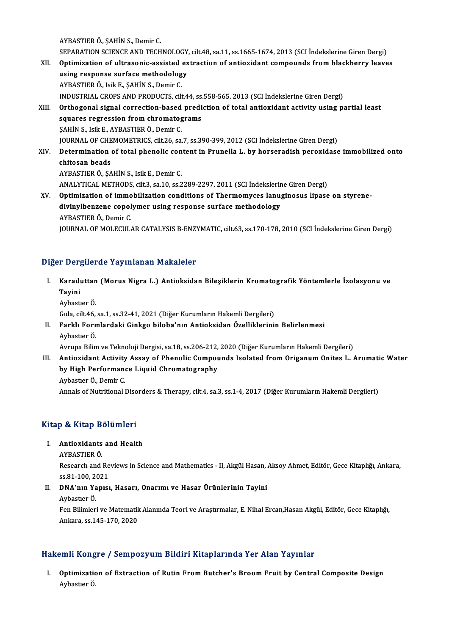AYBASTIERÖ.,ŞAHİNS.,Demir C.

AYBASTIER Ö., ŞAHİN S., Demir C.<br>SEPARATION SCIENCE AND TECHNOLOGY, cilt.48, sa.11, ss.1665-1674, 2013 (SCI İndekslerine Giren Dergi)<br>Ontimiration of ultrasonis assisted autrastion of antiquidant somnounda from blaskbarıyı AYBASTIER Ö., ŞAHİN S., Demir C.<br>SEPARATION SCIENCE AND TECHNOLOGY, cilt.48, sa.11, ss.1665-1674, 2013 (SCI İndekslerine Giren Dergi)<br>XII. Optimization of ultrasonic-assisted extraction of antioxidant compounds from blackb SEPARATION SCIENCE AND TECHNOLOGY<br>Optimization of ultrasonic-assisted ex<br>using response surface methodology<br>AVPASTIED Ö, Jail E, SAHİN S, Domin C XII. Optimization of ultrasonic-assisted extraction of antioxidant compounds from blackberry leaves<br>using response surface methodology<br>AYBASTIER Ö., Isik E., ŞAHİN S., Demir C. INDUSTRIAL CROPSANDPRODUCTS, cilt.44, ss.558-565,2013 (SCI İndekslerineGirenDergi) AYBASTIER Ö., Isik E., ŞAHİN S., Demir C.<br>INDUSTRIAL CROPS AND PRODUCTS, cilt.44, ss.558-565, 2013 (SCI İndekslerine Giren Dergi)<br>XIII. Orthogonal signal correction-based prediction of total antioxidant activity using INDUSTRIAL CROPS AND PRODUCTS, cilt.44, ss.<br>Orthogonal signal correction-based predi<br>squares regression from chromatograms<br>SAHIN S. Joil E. AVPASTIEP Ö. Domir C Orthogonal signal correction-based<br>squares regression from chromatog<br>SAHİN S., Isik E., AYBASTIER Ö., Demir C.<br>JOUPNAL OF CHEMOMETRICS silt 26 S. squares regression from chromatograms<br>ŞAHİN S., Isik E., AYBASTIER Ö., Demir C.<br>JOURNAL OF CHEMOMETRICS, cilt.26, sa.7, ss.390-399, 2012 (SCI İndekslerine Giren Dergi)<br>Determination of tatal phonolis sentent in Puunelle L. \$AHİN S., Isik E., AYBASTIER Ö., Demir C.<br>JOURNAL OF CHEMOMETRICS, cilt.26, sa.7, ss.390-399, 2012 (SCI İndekslerine Giren Dergi)<br>XIV. Determination of total phenolic content in Prunella L. by horseradish peroxidase im **JOURNAL OF CHE**<br>Determination<br>chitosan beads<br>AVRASTIER Ö. SA Determination of total phenolic con<br>chitosan beads<br>AYBASTIER Ö., ŞAHİN S., Isik E., Demir C.<br>ANALYTICAL METHODS cilt 2, 22 10, 22 2 chitosan beads<br>AYBASTIER Ö., ŞAHİN S., Isik E., Demir C.<br>ANALYTICAL METHODS, cilt.3, sa.10, ss.2289-2297, 2011 (SCI İndekslerine Giren Dergi)<br>Ontimization of immobilization conditions of Thermomyses lanusinesys liness AYBASTIER Ö., ŞAHİN S., Isik E., Demir C.<br>ANALYTICAL METHODS, cilt.3, sa.10, ss.2289-2297, 2011 (SCI İndekslerine Giren Dergi)<br>XV. Optimization of immobilization conditions of Thermomyces lanuginosus lipase on styrene-ANALYTICAL METHODS, cilt.3, sa.10, ss.2289-2297, 2011 (SCI İndekslerin<br>Optimization of immobilization conditions of Thermomyces lanu<sub>i</sub><br>divinylbenzene copolymer using response surface methodology<br>AYRASTIER Ö. Domin*G* 

Optimization of immo<br>divinylbenzene copol<br>AYBASTIER Ö., Demir C.<br>JOUPMAL OF MOLECIU divinylbenzene copolymer using response surface methodology<br>AYBASTIER Ö., Demir C.<br>JOURNAL OF MOLECULAR CATALYSIS B-ENZYMATIC, cilt.63, ss.170-178, 2010 (SCI İndekslerine Giren Dergi)

# Diğer Dergilerde Yayınlanan Makaleler

- iğer Dergilerde Yayınlanan Makaleler<br>I. Karaduttan (Morus Nigra L.) Antioksidan Bileşiklerin Kromatografik Yöntemlerle İzolasyonu ve<br>Tavini r Dor<sub>i</sub><br>Karadı<br>Tayini <mark>Karaduttan</mark><br>Tayini<br>Aybastıer Ö.<br>Gıda çilt*46* Tayini<br>Aybastıer Ö.<br>Gıda, cilt.46, sa.1, ss.32-41, 2021 (Diğer Kurumların Hakemli Dergileri)
	-

# Aybastıer Ö.<br>Gıda, cilt.46, sa.1, ss.32-41, 2021 (Diğer Kurumların Hakemli Dergileri)<br>II. Farklı Formlardaki Ginkgo biloba'nın Antioksidan Özelliklerinin Belirlenmesi<br>Aybaster Ö Gıda, cilt.46,<br><mark>Farklı Forn</mark><br>Aybastıer Ö.<br>Ayruna Bilin Farklı Formlardaki Ginkgo biloba'nın Antioksidan Özelliklerinin Belirlenmesi<br>Aybastıer Ö.<br>Avrupa Bilim ve Teknoloji Dergisi, sa.18, ss.206-212, 2020 (Diğer Kurumların Hakemli Dergileri)<br>Antioxident Astivity Assey of Bhanel

Aybastıer Ö.<br>Avrupa Bilim ve Teknoloji Dergisi, sa.18, ss.206-212, 2020 (Diğer Kurumların Hakemli Dergileri)<br>III. Antioxidant Activity Assay of Phenolic Compounds Isolated from Origanum Onites L. Aromatic Water<br>by High Avrupa Bilim ve Teknoloji Dergisi, sa.18, ss.206-212,<br>Antioxidant Activity Assay of Phenolic Compol<br>by High Performance Liquid Chromatography<br>Aybester Ö. Demir C Antioxidant Activity<br>by High Performan<br>Aybastıer Ö., Demir C.<br>Annala of Nutritional I by High Performance Liquid Chromatography<br>Aybastier Ö., Demir C.<br>Annals of Nutritional Disorders & Therapy, cilt.4, sa.3, ss.1-4, 2017 (Diğer Kurumların Hakemli Dergileri)

# Annais or Nutriuonai Diso<br>Kitap & Kitap Bölümleri

# Itap & Kitap Bölümleri<br>I. Antioxidants and Health<br>AVPASTIEP Ö I. Antioxidants and Health<br>AYBASTIER Ö.

Antioxidants and Health<br>AYBASTIER Ö.<br>Research and Reviews in Science and Mathematics - II, Akgül Hasan, Aksoy Ahmet, Editör, Gece Kitaplığı, Ankara, AYBASTIER Ö.<br>Research and Re<br>ss.81-100, 2021<br>DNA'nın Yonıcı Research and Reviews in Science and Mathematics - II, Akgül Hasan,<br>ss.81-100, 2021<br>II. DNA'nın Yapısı, Hasarı, Onarımı ve Hasar Ürünlerinin Tayini

# ss.81-100, 2021<br>II. DNA'nın Yapısı, Hasarı, Onarımı ve Hasar Ürünlerinin Tayini<br>Aybastıer Ö.

DNA'nın Yapısı, Hasarı, Onarımı ve Hasar Ürünlerinin Tayini<br>Aybastıer Ö.<br>Fen Bilimleri ve Matematik Alanında Teori ve Araştırmalar, E. Nihal Ercan,Hasan Akgül, Editör, Gece Kitaplığı, Aybastıer Ö.<br>Fen Bilimleri ve Matematik<br>Ankara, ss.145-170, 2020

# Ankara, ss.145-170, 2020<br>Hakemli Kongre / Sempozyum Bildiri Kitaplarında Yer Alan Yayınlar

akemli Kongre / Sempozyum Bildiri Kitaplarında Yer Alan Yayınlar<br>I. Optimization of Extraction of Rutin From Butcher's Broom Fruit by Central Composite Design<br>Aybaster Ö SHIII KEER<br>Optimizatio<br>Aybastıer Ö.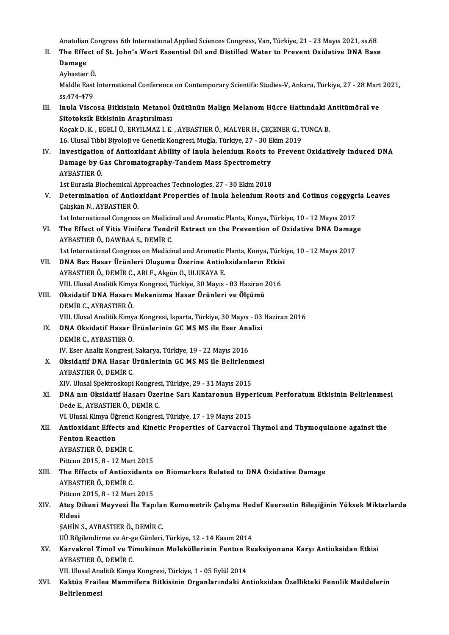Anatolian Congress 6th International Applied Sciences Congress, Van, Türkiye, 21 - 23 Mayıs 2021, ss.68<br>The Effect of St. John's Wort Essential Oil and Distilled Water to Prevent Ovidetive DNA Boss

Anatolian Congress 6th International Applied Sciences Congress, Van, Türkiye, 21 - 23 Mayıs 2021, ss.68<br>II. The Effect of St. John's Wort Essential Oil and Distilled Water to Prevent Oxidative DNA Base<br>Damage Anatolian<br>The Effe<br>Damage<br>Arbastan II. The Effect of St. John's Wort Essential Oil and Distilled Water to Prevent Oxidative DNA Base<br>Damage

```
Aybastier Ö.
```
Middle East International Conference on Contemporary Scientific Studies-V, Ankara, Türkiye, 27 - 28 Mart 2021,<br>ss.474-479 Middle East International Conference on Contemporary Scientific Studies-V, Ankara, Türkiye, 27 - 28 Mart<br>ss.474-479<br>III. Inula Viscosa Bitkisinin Metanol Özütünün Malign Melanom Hücre Hattındaki Antitümöral ve<br>Sitoteksik E

ss.474-479<br>Inula Viscosa Bitkisinin Metanol<br>Sitotoksik Etkisinin Araştırılması<br>Kosak D. K., ECELLÜ, EPVILMAZ L.E. Inula Viscosa Bitkisinin Metanol Özütünün Malign Melanom Hücre Hattındaki A<br>Sitotoksik Etkisinin Araştırılması<br>Koçak D. K., EGELİ Ü., ERYILMAZ I. E., AYBASTIER Ö., MALYER H., ÇEÇENER G., TUNCA B.<br>16 Illyaal Tıbbi Biyalaji

Sitotoksik Etkisinin Araştırılması<br>Koçak D. K. , EGELİ Ü., ERYILMAZ I. E. , AYBASTIER Ö., MALYER H., ÇEÇENER G., T<br>16. Ulusal Tıbbi Biyoloji ve Genetik Kongresi, Muğla, Türkiye, 27 - 30 Ekim 2019<br>Investisation of Antioxida Koçak D. K. , EGELİ Ü., ERYILMAZ I. E. , AYBASTIER Ö., MALYER H., ÇEÇENER G., TUNCA B.<br>16. Ulusal Tıbbi Biyoloji ve Genetik Kongresi, Muğla, Türkiye, 27 - 30 Ekim 2019<br>IV. Investigation of Antioxidant Ability of Inula hele

16. Ulusal Tıbbi Biyoloji ve Genetik Kongresi, Muğla, Türkiye, 27 - 30 E<br>Investigation of Antioxidant Ability of Inula helenium Roots to<br>Damage by Gas Chromatography-Tandem Mass Spectrometry<br>AYRASTIER Ö Investigation<br>Damage by G<br>AYBASTIER Ö.<br>1st Eurosia Bis Damage by Gas Chromatography-Tandem Mass Spectrometry<br>AYBASTIER Ö.<br>1st Eurasia Biochemical Approaches Technologies, 27 - 30 Ekim 2018<br>Determination of Antioxidant Proporties of Inula belanium Pe

AYBASTIER Ö.<br>1st Eurasia Biochemical Approaches Technologies, 27 - 30 Ekim 2018<br>V. Determination of Antioxidant Properties of Inula helenium Roots and Cotinus coggygria Leaves<br>Cokekan N. AVPASTIER Ö. 1st Eurasia Biochemical A<br>Determination of Antio<br>Çalışkan N., AYBASTIER Ö.<br>1st International Congress Determination of Antioxidant Properties of Inula helenium Roots and Cotinus coggygr<br>Calışkan N., AYBASTIER Ö.<br>1st International Congress on Medicinal and Aromatic Plants, Konya, Türkiye, 10 - 12 Mayıs 2017<br>The Effect of Vi

1st International Congress on Medicinal and Aromatic Plants, Konya, Türkiye, 10 - 12 Mayıs 2017

Caliskan N., AYBASTIER Ö.<br>1st International Congress on Medicinal and Aromatic Plants, Konya, Türkiye, 10 - 12 Mayıs 2017<br>1. The Effect of Vitis Vinifera Tendril Extract on the Prevention of Oxidative DNA Damage<br>1. AYBASTI The Effect of Vitis Vinifera Tendril Extract on the Prevention of Oxidative DNA Damag<br>AYBASTIER Ö., DAWBAA S., DEMİR C.<br>1st International Congress on Medicinal and Aromatic Plants, Konya, Türkiye, 10 - 12 Mayıs 2017<br>DNA Ba

- VII. DNA Baz Hasar Ürünleri Oluşumu Üzerine Antioksidanların Etkisi<br>AYBASTIER Ö., DEMİR C., ARI F., Akgün O., ULUKAYA E. 1st International Congress on Medicinal and Aromatic<br>DNA Baz Hasar Ürünleri Oluşumu Üzerine Antiol<br>AYBASTIER Ö., DEMİR C., ARI F., Akgün O., ULUKAYA E.<br>VIII Ulusal Analitik Kimya Kongresi Türkiye 30 Mayıs DNA Baz Hasar Ürünleri Oluşumu Üzerine Antioksidanların Etkis<br>AYBASTIER Ö., DEMİR C., ARI F., Akgün O., ULUKAYA E.<br>VIII. Ulusal Analitik Kimya Kongresi, Türkiye, 30 Mayıs - 03 Haziran 2016<br>Oksidatif DNA Hasarı Makanizma Ha
- VIII. Oksidatif DNA Hasarı Mekanizma Hasar Ürünleri ve Ölçümü<br>DEMİR C., AYBASTIER Ö. VIII. Ulusal Analitik Kimy<br><mark>Oksidatif DNA Hasarı</mark><br>DEMİR C., AYBASTIER Ö.<br>VIII. Ulusal Analitik Kimy Oksidatif DNA Hasarı Mekanizma Hasar Ürünleri ve Ölçümü<br>DEMİR C., AYBASTIER Ö.<br>VIII. Ulusal Analitik Kimya Kongresi, Isparta, Türkiye, 30 Mayıs - 03 Haziran 2016<br>DNA Oksidatif Hasar Ürünlerinin CC MS MS ilə Fsar Analizi
	- IX. DNA Oksidatif Hasar Ürünlerinin GCMSMS ile Eser Analizi<br>DEMİR C., AYBASTIER Ö. VIII. Ulusal Analitik Kimy<br>DNA Oksidatif Hasar (<br>DEMİR C., AYBASTIER Ö.<br>W. Feer Analiz Kongresi DNA Oksidatif Hasar Ürünlerinin GC MS MS ile Eser Ana<br>DEMİR C., AYBASTIER Ö.<br>IV. Eser Analiz Kongresi, Sakarya, Türkiye, 19 - 22 Mayıs 2016<br>Oksidatif DNA Hasar Ürünlerinin GC MS MS ile Belirlerı
	- X. Oksidatif DNA Hasar Ürünlerinin GCMSMS ile Belirlenmesi<br>AYBASTIER Ö., DEMİR C. IV. Eser Analiz Kongresi,<br><mark>Oksidatif DNA Hasar (</mark><br>AYBASTIER Ö., DEMİR C.<br>YIV. Ulugal Snaktraskani XIV. Ulusal Spektroskopi Kongresi, Türkiye, 29 - 31 Mayıs 2015
	- AYBASTIER Ö., DEMİR C.<br>XIV. Ulusal Spektroskopi Kongresi, Türkiye, 29 31 Mayıs 2015<br>XI. DNA nın Oksidatif Hasarı Üzerine Sarı Kantaronun Hypericum Perforatum Etkisinin Belirlenmesi<br>Dede E. AYPASTIER Ö. DEMİR C XIV. Ulusal Spektroskopi Kongres<br><mark>DNA nın Oksidatif Hasarı Üze</mark>:<br>Dede E., AYBASTIER Ö., DEMİR C.<br>VI. Ulusal Kimve Öğrensi Kongres DNA nın Oksidatif Hasarı Üzerine Sarı Kantaronun Hype<br>Dede E., AYBASTIER Ö., DEMİR C.<br>VI. Ulusal Kimya Öğrenci Kongresi, Türkiye, 17 - 19 Mayıs 2015<br>Antiovident Effects and Kinetis Propenties of Convegral i

VI. Ulusal Kimya Öğrenci Kongresi, Türkiye, 17 - 19 Mayıs 2015

# Dede E., AYBASTIER Ö., DEMİR C.<br>VI. Ulusal Kimya Öğrenci Kongresi, Türkiye, 17 - 19 Mayıs 2015<br>XII. Antioxidant Effects and Kinetic Properties of Carvacrol Thymol and Thymoquinone against the<br>Fenton Reaction AYBASTIERÖ.,DEMİRC. Pittcon 2015, 8 - 12 Mart 2015

AYBASTIER Ö., DEMİR C.<br>Pittcon 2015, 8 - 12 Mart 2015<br>XIII. The Effects of Antioxidants on Biomarkers Related to DNA Oxidative Damage<br>AVRASTIER Ö. DEMİR C Pittcon 2015, 8 - 12 Mart<br>The Effects of Antioxie<br>AYBASTIER Ö., DEMİR C.<br>Pittcon 2015, 8 - 12 Mart The Effects of Antioxidants<br>AYBASTIER Ö., DEMİR C.<br>Pittcon 2015, 8 - 12 Mart 2015<br>Ates Dikani Meuvesi İle Yanı

# AYBASTIER Ö., DEMİR C.<br>Pittcon 2015, 8 - 12 Mart 2015<br>XIV. Ateş Dikeni Meyvesi İle Yapılan Kemometrik Çalışma Hedef Kuersetin Bileşiğinin Yüksek Miktarlarda<br>Fidesi Pittcon<br><mark>Ateş D</mark><br>Eldesi<br>sauin Ateş Dikeni Meyvesi İle Yapılaı<br>Eldesi<br>ŞAHİN S., AYBASTIER Ö., DEMİR C.<br>III Bilgilandirma va Ar ge Günleri Eldesi<br>ŞAHİN S., AYBASTIER Ö., DEMİR C.<br>UÜ Bilgilendirme ve Ar-ge Günleri, Türkiye, 12 - 14 Kasım 2014<br>Kanvalınal Timal ve Timakinan Malaküllerinin Fantan Pa

ŞAHİN S., AYBASTIER Ö., DEMİR C.<br>UÜ Bilgilendirme ve Ar-ge Günleri, Türkiye, 12 - 14 Kasım 2014<br>XV. Karvakrol Timol ve Timokinon Moleküllerinin Fenton Reaksiyonuna Karşı Antioksidan Etkisi<br>AVPASTIER Ö. DEMİR C UÜ Bilgilendirme ve Ar-g<br><mark>Karvakrol Timol ve Ti</mark><br>AYBASTIER Ö., DEMİR C.<br>VII Hlusal Analitik Kimya Karvakrol Timol ve Timokinon Moleküllerinin Fenton F<br>AYBASTIER Ö., DEMİR C.<br>VII. Ulusal Analitik Kimya Kongresi, Türkiye, 1 - 05 Eylül 2014<br>Kaktüs Exsiles Mammifore Bitkisinin Oxsanlarındaki Ar

AYBASTIER Ö., DEMİR C.<br>VII. Ulusal Analitik Kimya Kongresi, Türkiye, 1 - 05 Eylül 2014<br>XVI. Kaktüs Frailea Mammifera Bitkisinin Organlarındaki Antioksidan Özellikteki Fenolik Maddelerin<br>Palinlanmasi VII. Ulusal Ana<br><mark>Kaktüs Frail</mark><br>Belirlenmesi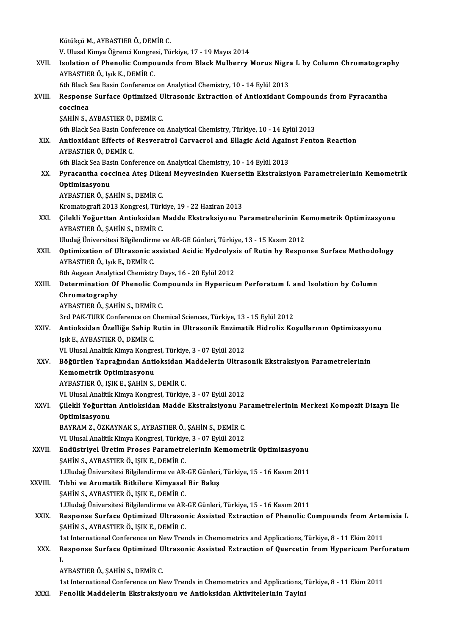KütükçüM.,AYBASTIERÖ.,DEMİRC.

Kütükçü M., AYBASTIER Ö., DEMİR C.<br>V. Ulusal Kimya Öğrenci Kongresi, Türkiye, 17 - 19 Mayıs 2014<br>Jealatian of Phanalis Comnounda from Blask Mulhouw I

Kütükçü M., AYBASTIER Ö., DEMİR C.<br>V. Ulusal Kimya Öğrenci Kongresi, Türkiye, 17 - 19 Mayıs 2014<br>XVII. Isolation of Phenolic Compounds from Black Mulberry Morus Nigra L by Column Chromatography<br>AYBASTIER Ö. Jak K. DEMİ V. Ulusal Kimya Öğrenci Kongre<br>Isolation of Phenolic Compo<br>AYBASTIER Ö., Işık K., DEMİR C.<br>Eth Plask See Besin Conference Isolation of Phenolic Compounds from Black Mulberry Morus Nigra<br>AYBASTIER Ö., Işık K., DEMİR C.<br>6th Black Sea Basin Conference on Analytical Chemistry, 10 - 14 Eylül 2013<br>Bespense Surface Ontimized Ultresenis Extrestion of

- AYBASTIER Ö., Işık K., DEMİR C.<br>6th Black Sea Basin Conference on Analytical Chemistry, 10 14 Eylül 2013<br>XVIII. Response Surface Optimized Ultrasonic Extraction of Antioxidant Compounds from Pyracantha<br>Coscines 6th Black Sea Basin Conference on Analytical Chemistry, 10 - 14 Eylül 2013<br>Response Surface Optimized Ultrasonic Extraction of Antioxidant C<br>coccinea<br>SAHIN S., AYBASTIER Ö., DEMİR C. Response Surface Optimized U<br>coccinea<br>ŞAHİN S., AYBASTIER Ö., DEMİR C.<br>Eth Plack See Besin Conference on 6th Black Sea Basin Conference on Analytical Chemistry, Türkiye, 10 - 14 Eylül 2013 SAHIN S., AYBASTIER Ö., DEMIR C.<br>6th Black Sea Basin Conference on Analytical Chemistry, Türkiye, 10 - 14 Eylül 2013<br>XIX. Antioxidant Effects of Resveratrol Carvacrol and Ellagic Acid Against Fenton Reaction<br>AVRASTIER 6th Black Sea Basin Conf<br>**Antioxidant Effects of**<br>AYBASTIER Ö., DEMİR C.<br><sup>6th Black Sea Basin Conf</sup> Antioxidant Effects of Resveratrol Carvacrol and Ellagic Acid Again<br>AYBASTIER Ö., DEMİR C.<br>6th Black Sea Basin Conference on Analytical Chemistry, 10 - 14 Eylül 2013<br>Bunasantha sassinaa Atas Dikani Mauyasindan Kuansatin Ek AYBASTIER Ö., DEMİR C.<br>6th Black Sea Basin Conference on Analytical Chemistry, 10 - 14 Eylül 2013<br>XX. Pyracantha coccinea Ateş Dikeni Meyvesinden Kuersetin Ekstraksiyon Parametrelerinin Kemometrik Optimizasyonu AYBASTIER Ö., ŞAHİN S., DEMİR C. Kromatografi2013Kongresi,Türkiye,19 -22Haziran2013 AYBASTIER Ö., ŞAHİN S., DEMİR C.<br>Kromatografi 2013 Kongresi, Türkiye, 19 - 22 Haziran 2013<br>XXI. Çilekli Yoğurttan Antioksidan Madde Ekstraksiyonu Parametrelerinin Kemometrik Optimizasyonu<br>AYRASTIER Ö. SAHİN S. DEMİR C Kromatografi 2013 Kongresi, Türk<br><mark>Çilekli Yoğurttan Antioksidan</mark> I<br>AYBASTIER Ö., ŞAHİN S., DEMİR C.<br>Uludağ Üniversitesi Bilgilandirme ı Çilekli Yoğurttan Antioksidan Madde Ekstraksiyonu Parametrelerinin Ko<br>AYBASTIER Ö., ŞAHİN S., DEMİR C.<br>Uludağ Üniversitesi Bilgilendirme ve AR-GE Günleri, Türkiye, 13 - 15 Kasım 2012<br>Ontimiration of Illtrasonia assisted As AYBASTIER Ö., ŞAHİN S., DEMİR C.<br>Uludağ Üniversitesi Bilgilendirme ve AR-GE Günleri, Türkiye, 13 - 15 Kasım 2012<br>XXII. Optimization of Ultrasonic assisted Acidic Hydrolysis of Rutin by Response Surface Methodology<br>AYBASTIE Uludağ Üniversitesi Bilgilendirm<br>**Optimization of Ultrasonic a**<br>AYBASTIER Ö., Işık E., DEMİR C.<br><sup>9th Agggan Analytical Chamistri</sup> Optimization of Ultrasonic assisted Acidic Hydrolys<br>AYBASTIER Ö., Işık E., DEMİR C.<br>8th Aegean Analytical Chemistry Days, 16 - 20 Eylül 2012<br>Determination Of Bhanalis Compounds in Hynoriau AYBASTIER Ö., Işık E., DEMİR C.<br>8th Aegean Analytical Chemistry Days, 16 - 20 Eylül 2012<br>XXIII. Determination Of Phenolic Compounds in Hypericum Perforatum L and Isolation by Column<br>Chromatography **8th Aegean Analytic<br>Determination Of<br>Chromatography<br>AVPASTIED Ö, SAHİ** Determination Of Phenolic Cor<br>Chromatography<br>AYBASTIER Ö., ŞAHİN S., DEMİR C.<br>2rd PAK TUPK Conference on Che Chromatography<br>AYBASTIER Ö., ŞAHİN S., DEMİR C.<br>3rd PAK-TURK Conference on Chemical Sciences, Türkiye, 13 - 15 Eylül 2012<br>Antioksidan Özelliğe Sabin Butin in Ultrasanik Engimatik Hidroliz Ko AYBASTIER Ö., ŞAHİN S., DEMİR C.<br>3rd PAK-TURK Conference on Chemical Sciences, Türkiye, 13 - 15 Eylül 2012<br>XXIV. Antioksidan Özelliğe Sahip Rutin in Ultrasonik Enzimatik Hidroliz Koşullarının Optimizasyonu<br>Işık E., AYB 3rd PAK-TURK Conference on C<br>**Antioksidan Özelliğe Sahip I**<br>Işık E., AYBASTIER Ö., DEMİR C.<br>VI Ulusel Analitik Kimuş Kongre Antioksidan Özelliğe Sahip Rutin in Ultrasonik Enzimat<br>Işık E., AYBASTIER Ö., DEMİR C.<br>VI. Ulusal Analitik Kimya Kongresi, Türkiye, 3 - 07 Eylül 2012<br>Böğürtlen Venreğinden Antioksiden Maddelerin IIItree Işık E., AYBASTIER Ö., DEMİR C.<br>VI. Ulusal Analitik Kimya Kongresi, Türkiye, 3 - 07 Eylül 2012<br>XXV. Böğürtlen Yaprağından Antioksidan Maddelerin Ultrasonik Ekstraksiyon Parametrelerinin<br>Kememetrik Ontimisesyonu VI. Ulusal Analitik Kimya Kongre<br>Böğürtlen Yaprağından Anti<br>Kemometrik Optimizasyonu<br>AVRASTIEDÖ JSIKE SAHİNS Böğürtlen Yaprağından Antioksidan l<br>Kemometrik Optimizasyonu<br>AYBASTIER Ö., IŞIK E., ŞAHİN S., DEMİR C.<br>VI Ulucel Anelitik Kimua Konsusci Türkiye Kemometrik Optimizasyonu<br>AYBASTIER Ö., IŞIK E., ŞAHİN S., DEMİR C.<br>VI. Ulusal Analitik Kimya Kongresi, Türkiye, 3 - 07 Eylül 2012<br>Gilakli Yoğunttan Antiaksidan Madda Ekstraksiyanu Ba AYBASTIER Ö., IŞIK E., ŞAHİN S., DEMİR C.<br>VI. Ulusal Analitik Kimya Kongresi, Türkiye, 3 - 07 Eylül 2012<br>XXVI. Çilekli Yoğurttan Antioksidan Madde Ekstraksiyonu Parametrelerinin Merkezi Kompozit Dizayn İle<br>Optimizeyyen VI. Ulusal Analitik<br>Çilekli Yoğurtta<br>Optimizasyonu<br>PAVPAM 7. Ö7K Çilekli Yoğurttan Antioksidan Madde Ekstraksiyonu Pa<br>Optimizasyonu<br>BAYRAM Z., ÖZKAYNAK S., AYBASTIER Ö., ŞAHİN S., DEMİR C.<br>VI Ulusal Analitlı Kimua Kongresi Türkiya 2., 97 Eylül 2012. Optimizasyonu<br>BAYRAM Z., ÖZKAYNAK S., AYBASTIER Ö., ŞAHİN S., DEMİR C.<br>VI. Ulusal Analitik Kimya Kongresi, Türkiye, 3 - 07 Eylül 2012 BAYRAM Z., ÖZKAYNAK S., AYBASTIER Ö., ŞAHİN S., DEMİR C.<br>VI. Ulusal Analitik Kimya Kongresi, Türkiye, 3 - 07 Eylül 2012<br>XXVII. Endüstriyel Üretim Proses Parametrelerinin Kemometrik Optimizasyonu<br>SAHİN S. AVPASTIER Ö. I VI. Ulusal Analitik Kimya Kongresi, Türkiye<br><mark>Endüstriyel Üretim Proses Parametre</mark><br>ŞAHİN S., AYBASTIER Ö., IŞIK E., DEMİR C.<br>1 Hudağ Üniversitesi Bilgilandirme ve AP Endüstriyel Üretim Proses Parametrelerinin Kemometrik Optimizasyonu<br>ŞAHİN S., AYBASTIER Ö., IŞIK E., DEMİR C.<br>1.Uludağ Üniversitesi Bilgilendirme ve AR-GE Günleri, Türkiye, 15 - 16 Kasım 2011<br>Tıbbi ve Aromatik Bitkiloro Ki SAHİN S., AYBASTIER Ö., IŞIK E., DEMİR C.<br>1.Uludağ Üniversitesi Bilgilendirme ve AR-GE Günleri,<br>XXVIII. Tıbbi ve Aromatik Bitkilere Kimyasal Bir Bakış<br>5.AHİN S. AYBASTIER Ö. ISIK E. DEMİR G 1.Uludağ Üniversitesi Bilgilendirme ve AR-<br>Tıbbi ve Aromatik Bitkilere Kimyasal<br>ŞAHİN S., AYBASTIER Ö., IŞIK E., DEMİR C.<br>1.Hudağ Üniversitesi Bilgilendirme ve AR Tıbbi ve Aromatik Bitkilere Kimyasal Bir Bakış<br>ŞAHİN S., AYBASTIER Ö., IŞIK E., DEMİR C.<br>1.Uludağ Üniversitesi Bilgilendirme ve AR-GE Günleri, Türkiye, 15 - 16 Kasım 2011<br>Bespense Surface Ontimized Illtrasenis Assisted Ext SAHİN S., AYBASTIER Ö., IŞIK E., DEMİR C.<br>1.Uludağ Üniversitesi Bilgilendirme ve AR-GE Günleri, Türkiye, 15 - 16 Kasım 2011<br>XXIX. Response Surface Optimized Ultrasonic Assisted Extraction of Phenolic Compounds from Art 1.Uludağ Üniversitesi Bilgilendirme ve AR-<br>Response Surface Optimized Ultrasor<br>ŞAHİN S., AYBASTIER Ö., IŞIK E., DEMİR C.<br>1st International Conference on New Trev Response Surface Optimized Ultrasonic Assisted Extraction of Phenolic Compounds from Arter<br>SAHİN S., AYBASTIER Ö., IŞIK E., DEMİR C.<br>1st International Conference on New Trends in Chemometrics and Applications, Türkiye, 8 -SAHIN S., AYBASTIER Ö., IŞIK E., DEMIR C.<br>1st International Conference on New Trends in Chemometrics and Applications, Türkiye, 8 - 11 Ekim 2011<br>XXX. Response Surface Optimized Ultrasonic Assisted Extraction of Quercet  $\frac{1}{R}$ <br>L<br> $\frac{1}{A}$ Response Surface Optimized U<br>L<br>AYBASTIER Ö., ŞAHİN S., DEMİR C.<br>1st International Conference on N. L<br>AYBASTIER Ö., ŞAHİN S., DEMİR C.<br>1st International Conference on New Trends in Chemometrics and Applications, Türkiye, 8 - 11 Ekim 2011
- XXXI. FenolikMaddelerin Ekstraksiyonu ve Antioksidan Aktivitelerinin Tayini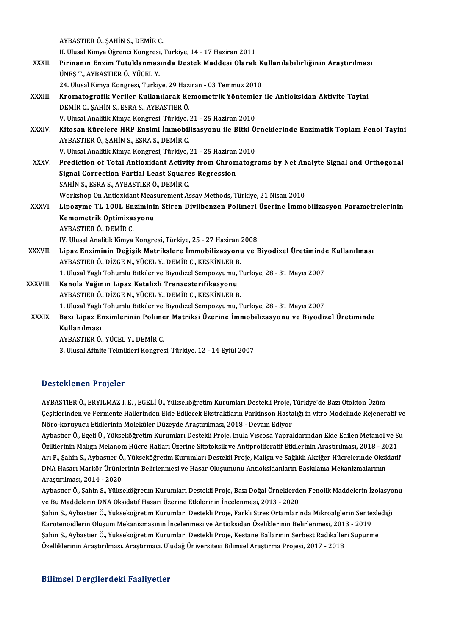AYBASTIERÖ.,ŞAHİNS.,DEMİRC.

II. Ulusal Kimya Öğrenci Kongresi, Türkiye, 14 - 17 Haziran 2011

- AYBASTIER Ö., ŞAHİN S., DEMİR C.<br>II. Ulusal Kimya Öğrenci Kongresi, Türkiye, 14 17 Haziran 2011<br>XXXII. Pirinanın Enzim Tutuklanmasında Destek Maddesi Olarak Kullanılabilirliğinin Araştırılması<br>İNKE T. AVPASTIER Ö. VÜ II. Ulusal Kimya Öğrenci Kongresi<br>Pirinanın Enzim Tutuklanmas<br>ÜNEŞ T., AYBASTIER Ö., YÜCEL Y.<br>24 Ulusal Kimua Kongresi Türki. Pirinanın Enzim Tutuklanmasında Destek Maddesi Olarak K<br>ÜNEŞ T., AYBASTIER Ö., YÜCEL Y.<br>24. Ulusal Kimya Kongresi, Türkiye, 29 Haziran - 03 Temmuz 2010<br>Kromatografik Veriler Kullanılarak Komometrik Yöntemler
	-
- ÜNEŞ T., AYBASTIER Ö., YÜCEL Y.<br>24. Ulusal Kimya Kongresi, Türkiye, 29 Haziran 03 Temmuz 2010<br>XXXIII. Kromatografik Veriler Kullanılarak Kemometrik Yöntemler ile Antioksidan Aktivite Tayini<br>DEMİR C. SAHİN S. ESRA S. 24. Ulusal Kimya Kongresi, Türkiye, 29 Haziran - 03 Temmuz 2010<br>Kromatografik Veriler Kullanılarak Kemometrik Yöntemler<br>DEMİR C., ŞAHİN S., ESRA S., AYBASTIER Ö.<br>V. Ulusal Analitik Kimya Kongresi, Türkiye, 21 - 25 Haziran Kromatografik Veriler Kullanılarak Kemometrik Yöntemle<br>DEMİR C., ŞAHİN S., ESRA S., AYBASTIER Ö.<br>V. Ulusal Analitik Kimya Kongresi, Türkiye, 21 - 25 Haziran 2010<br>Kitosan Kürolara HBB Engimi İmmabilizasyonu ile Bitki Ö. DEMİR C., ŞAHİN S., ESRA S., AYBASTIER Ö.<br>V. Ulusal Analitik Kimya Kongresi, Türkiye, 21 - 25 Haziran 2010<br>XXXIV. Kitosan Kürelere HRP Enzimi İmmobilizasyonu ile Bitki Örneklerinde Enzimatik Toplam Fenol Tayini<br>AVRASTI V. Ulusal Analitik Kimya Kongresi, Türkiye,<br>Kitosan Kürelere HRP Enzimi İmmobil<br>AYBASTIER Ö., ŞAHİN S., ESRA S., DEMİR C.<br>V. Ulusal Analitik Kimya Kongresi, Türkiye Kitosan Kürelere HRP Enzimi İmmobilizasyonu ile Bitki Ö<br>AYBASTIER Ö., ŞAHİN S., ESRA S., DEMİR C.<br>V. Ulusal Analitik Kimya Kongresi, Türkiye, 21 - 25 Haziran 2010<br>Predistion of Total Antiovident Astivity from Chromatesr

- AYBASTIER Ö., ŞAHİN S., ESRA S., DEMİR C.<br>V. Ulusal Analitik Kimya Kongresi, Türkiye, 21 25 Haziran 2010<br>XXXV. Prediction of Total Antioxidant Activity from Chromatograms by Net Analyte Signal and Orthogonal V. Ulusal Analitik Kimya Kongresi, Türkiye, 21 - 25 Haziran 2010<br>Prediction of Total Antioxidant Activity from Chromatog:<br>Signal Correction Partial Least Squares Regression<br>SAHİN S., ESRA S., AYBASTIER Ö., DEMİR C. Signal Correction Partial Least Squares Regression Signal Correction Partial Least Squares Regression<br>ŞAHİN S., ESRA S., AYBASTIER Ö., DEMİR C.<br>Workshop On Antioxidant Measurement Assay Methods, Türkiye, 21 Nisan 2010<br>Linezume T.L. 100L Enziminin Stiren Divilhenzen Pelimen ŞAHİN S., ESRA S., AYBASTIER Ö., DEMİR C.<br>Workshop On Antioxidant Measurement Assay Methods, Türkiye, 21 Nisan 2010<br>XXXVI. Lipozyme TL 100L Enziminin Stiren Divilbenzen Polimeri Üzerine İmmobilizasyon Parametrelerinin<br>
- Workshop On Antioxidant Meas<br>Lipozyme TL 100L Enzimini<br>Kemometrik Optimizasyonu<br>AVRASTIER Ö. DEMİR C Lipozyme TL 100L En<br>Kemometrik Optimiza:<br>AYBASTIER Ö., DEMİR C.<br>IV Ulucal Analitik Yimva Kemometrik Optimizasyonu<br>AYBASTIER Ö., DEMİR C.<br>IV. Ulusal Analitik Kimya Kongresi, Türkiye, 25 - 27 Haziran 2008 AYBASTIER Ö., DEMİR C.<br>IV. Ulusal Analitik Kimya Kongresi, Türkiye, 25 - 27 Haziran 2008<br>XXXVII. Lipaz Enziminin Değişik Matrikslere İmmobilizasyonu ve Biyodizel Üretiminde Kullanılması<br>AYRASTIER Ö. DİZCE N. VÜCEL V. D

- IV. Ulusal Analitik Kimya Kongresi, Türkiye, 25 27 Haziran<br>Lipaz Enziminin Değişik Matrikslere İmmobilizasyonu<br>AYBASTIER Ö., DİZGE N., YÜCEL Y., DEMİR C., KESKİNLER B.<br>1. Ulusal Yağlı Tabumlu Bitkilar ve Biyodizal Samnaz Lipaz Enziminin Değişik Matrikslere İmmobilizasyonu ve Biyodizel Üretiminde<br>AYBASTIER Ö., DİZGE N., YÜCEL Y., DEMİR C., KESKİNLER B.<br>1. Ulusal Yağlı Tohumlu Bitkiler ve Biyodizel Sempozyumu, Türkiye, 28 - 31 Mayıs 2007<br>Kan AYBASTIER Ö., DİZGE N., YÜCEL Y., DEMİR C., KESKİNLER B<br>1. Ulusal Yağlı Tohumlu Bitkiler ve Biyodizel Sempozyumu,<br>XXXVIII. Kanola Yağının Lipaz Katalizli Transesterifikasyonu<br>AVBASTIER Ö. DİZCE N. VÜCEL Y. DEMİR C. KES
- 1. Ulusal Yağlı Tohumlu Bitkiler ve Biyodizel Sempozyumu, T<br>Kanola Yağının Lipaz Katalizli Transesterifikasyonu<br>AYBASTIER Ö., DİZGE N., YÜCEL Y., DEMİR C., KESKİNLER B.<br>1. Ulusal Yağlı Tohumlu Bitkiler ve Biyodizel Sempozy 1. AYBASTIER Ö., DİZGE N., YÜCEL Y., DEMİR C., KESKİNLER B.<br>1. Ulusal Yağlı Tohumlu Bitkiler ve Biyodizel Sempozyumu, Türkiye, 28 - 31 Mayıs 2007 AYBASTIER Ö., DİZGE N., YÜCEL Y., DEMİR C., KESKİNLER B.<br>1. Ulusal Yağlı Tohumlu Bitkiler ve Biyodizel Sempozyumu, Türkiye, 28 - 31 Mayıs 2007<br>XXXIX. Bazı Lipaz Enzimlerinin Polimer Matriksi Üzerine İmmobilizasyonu ve
	- 1. Ulusal Yağlı<br>Bazı Lipaz Eı<br>Kullanılması<br>AVPASTIED Ö Bazı Lipaz Enzimlerinin Polime<br>Kullanılması<br>AYBASTIER Ö., YÜCEL Y., DEMİR C.<br><sup>2. Hlucel Afinite Telmilderi Kongres</sup> Kullanılması<br>AYBASTIER Ö., YÜCEL Y., DEMİR C.<br>3. Ulusal Afinite Teknikleri Kongresi, Türkiye, 12 - 14 Eylül 2007

# Desteklenen Projeler

AYBASTIER Ö., ERYILMAZ I. E., EGELİ Ü., Yükseköğretim Kurumları Destekli Proje, Türkiye'de Bazı Otokton Üzüm D'estefinenen Frejerer<br>AYBASTIER Ö., ERYILMAZ I. E. , EGELİ Ü., Yükseköğretim Kurumları Destekli Proje, Türkiye'de Bazı Otokton Üzüm<br>Näna komunun: Etkilerinin Moleküler Düreyde Arastarlımca: 2018, "Deyam Ediyar. AYBASTIER Ö., ERYILMAZ I. E. , EGELİ Ü., Yükseköğretim Kurumları Destekli Proje, '<br>Çeşitlerinden ve Fermente Hallerinden Elde Edilecek Ekstraktların Parkinson Hasta<br>Nöro-koruyucu Etkilerinin Moleküler Düzeyde Araştırılması Çeşitlerinden ve Fermente Hallerinden Elde Edilecek Ekstraktların Parkinson Hastalığı in vitro Modelinde Rejeneratif ve<br>Nöro-koruyucu Etkilerinin Moleküler Düzeyde Araştırılması, 2018 - Devam Ediyor<br>Aybastıer Ö., Egeli Ü.,

Nöro-koruyucu Etkilerinin Moleküler Düzeyde Araştırılması, 2018 - Devam Ediyor<br>Aybastıer Ö., Egeli Ü., Yükseköğretim Kurumları Destekli Proje, Inula Vıscosa Yapraldarından Elde Edilen Metanol ve Su<br>Öziltlerinin Malıgn Mela Aybastıer Ö., Egeli Ü., Yükseköğretim Kurumları Destekli Proje, Inula Vıscosa Yapraldarından Elde Edilen Metanol ve Su<br>Öziltlerinin Malıgn Melanom Hücre Hatları Üzerine Sitotoksik ve Antiproliferatif Etkilerinin Araştırılm Öziltlerinin Malıgn Melanom Hücre Hatları Üzerine Sitotoksik ve Antiproliferatif Etkilerinin Araştırılması, 2018 - 20<br>Arı F., Şahin S., Aybastıer Ö., Yükseköğretim Kurumları Destekli Proje, Malign ve Sağlıklı Akciğer Hücre Arı F., Şahin S., Aybastıer Ö.<br>DNA Hasarı Markör Ürünle<br>Araştırılması, 2014 - 2020<br>Aybastıar Ö. Sabin S. Yüka DNA Hasarı Markör Ürünlerinin Belirlenmesi ve Hasar Oluşumunu Antioksidanların Baskılama Mekanizmalarının<br>Araştırılması, 2014 - 2020<br>Aybastıer Ö., Şahin S., Yükseköğretim Kurumları Destekli Proje, Bazı Doğal Örneklerden Fe

Araştırılması, 2014 - 2020<br>Aybastıer Ö., Şahin S., Yükseköğretim Kurumları Destekli Proje, Bazı Doğal Örneklerde<br>ve Bu Maddelerin DNA Oksidatif Hasarı Üzerine Etkilerinin İncelenmesi, 2013 - 2020<br>Sehin S. Aybastıor Ö. Yüks Aybastıer Ö., Şahin S., Yükseköğretim Kurumları Destekli Proje, Bazı Doğal Örneklerden Fenolik Maddelerin İzolasyo<br>ve Bu Maddelerin DNA Oksidatif Hasarı Üzerine Etkilerinin İncelenmesi, 2013 - 2020<br>Şahin S., Aybastıer Ö.,

ve Bu Maddelerin DNA Oksidatif Hasarı Üzerine Etkilerinin İncelenmesi, 2013 - 2020<br>Şahin S., Aybastıer Ö., Yükseköğretim Kurumları Destekli Proje, Farklı Stres Ortamlarında Mikroalglerin Sente:<br>Karotenoidlerin Oluşum Mekan Şahin S., Aybastıer Ö., Yükseköğretim Kurumları Destekli Proje, Farklı Stres Ortamlarında Mikroalglerin Sentezle<br>Karotenoidlerin Oluşum Mekanizmasının İncelenmesi ve Antioksidan Özeliklerinin Belirlenmesi, 2013 - 2019<br>Şahi Karotenoidlerin Oluşum Mekanizmasının İncelenmesi ve Antioksidan Özeliklerinin Belirlenmesi, 201:<br>Şahin S., Aybastıer Ö., Yükseköğretim Kurumları Destekli Proje, Kestane Ballarının Serbest Radikaller<br>Özelliklerinin Araştır Özelliklerinin Araştırılması. Araştırmacı. Uludağ Üniversitesi Bilimsel Araştırma Projesi, 2017 - 2018<br>Bilimsel Dergilerdeki Faaliyetler